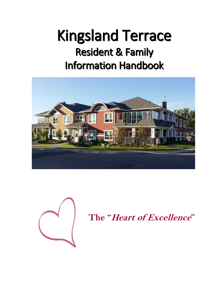# Kingsland Terrace Resident & Family Information Handbook





**The "Heart of Excellence"**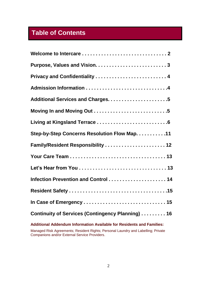# **Table of Contents**

| Step-by-Step Concerns Resolution Flow Map. 11                         |
|-----------------------------------------------------------------------|
| Family/Resident Responsibility  12                                    |
|                                                                       |
|                                                                       |
| Infection Prevention and Control  14                                  |
|                                                                       |
|                                                                       |
| Continuity of Services (Contingency Planning) 16                      |
| Additional Addendum Information Available for Residents and Families: |

Managed Risk Agreements; Resident Rights; Personal Laundry and Labelling; Private Companions and/or External Service Providers.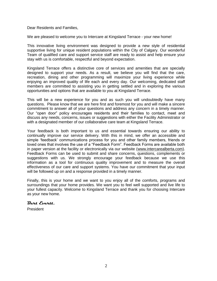Dear Residents and Families,

We are pleased to welcome you to Intercare at Kingsland Terrace - your new home!

This innovative living environment was designed to provide a new style of residential supportive living for unique resident populations within the City of Calgary. Our wonderful Team of qualified care and support service staff are ready to assist and help ensure your stay with us is comfortable, respectful and beyond expectation.

Kingsland Terrace offers a distinctive core of services and amenities that are specially designed to support your needs. As a result, we believe you will find that the care, recreation, dining and other programming will maximize your living experience while enjoying an improved quality of life each and every day. Our welcoming, dedicated staff members are committed to assisting you in getting settled and in exploring the various opportunities and options that are available to you at Kingsland Terrace.

This will be a new experience for you and as such you will undoubtedly have many questions. Please know that we are here first and foremost for you and will make a sincere commitment to answer all of your questions and address any concern in a timely manner. Our "open door" policy encourages residents and their families to contact, meet and discuss any needs, concerns, issues or suggestions with either the Facility Administrator or with a designated member of our collaborative care team at Kingsland Terrace.

Your feedback is both important to us and essential towards ensuring our ability to continually improve our service delivery. With this in mind, we offer an accessible and simple 'feedback' communications process for you and other family members, friends or loved ones that involves the use of a "Feedback Form". Feedback Forms are available both in paper version at the facility or electronically via our website [\(www.intercarealberta.com\)](http://www.intercarealberta.com/). Feedback Forms can be used to submit and share concerns, questions, complements or suggestions with us. We strongly encourage your feedback because we use this information as a tool for continuous quality improvement and to measure the overall effectiveness of our care and support systems. You have our commitment that your input will be followed up on and a response provided in a timely manner.

Finally, this is your home and we want to you enjoy all of the comforts, programs and surroundings that your home provides. We want you to feel well supported and live life to your fullest capacity. Welcome to Kingsland Terrace and thank you for choosing Intercare as your new home.

#### **Bert Evertt,**

President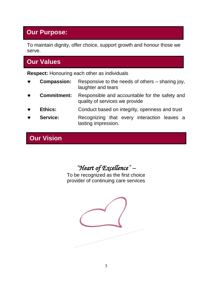### **Our Purpose:**

To maintain dignity, offer choice, support growth and honour those we serve.

### **Our Values**

**Respect:** Honouring each other as individuals

- **Compassion:** Responsive to the needs of others sharing joy, laughter and tears
- **Commitment:** Responsible and accountable for the safety and quality of services we provide
- **Ethics:** Conduct based on integrity, openness and trust
- **Service:** Recognizing that every interaction leaves a lasting impression.

# **Our Vision**

*"Heart of Excellence" –*

To be recognized as the first choice provider of continuing care services

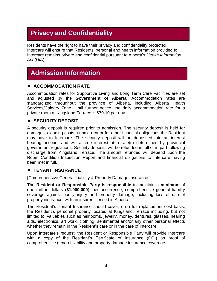# **Privacy and Confidentiality**

Residents have the right to have their privacy and confidentiality protected. Intercare will ensure that Residents' personal and health information provided to Intercare remains private and confidential pursuant to Alberta's *Health Information Act* (*HIA*).

### **Admission Information**

#### **ACCOMMODATION RATE**

Accommodation rates for Supportive Living and Long Term Care Facilities are set and adjusted by the **Government of Alberta**. Accommodation rates are standardized throughout the province of Alberta, including Alberta Health Services/Calgary Zone. Until further notice, the daily accommodation rate for a private room at Kingsland Terrace is **\$70.10** per day.

#### **v** SECURITY DEPOSIT

A security deposit is required prior to admission. The security deposit is held for damages, cleaning costs, unpaid rent or for other financial obligations the Resident may have to Intercare. The security deposit will be deposited into an interest bearing account and will accrue interest at a rate(s) determined by provincial government regulations. Security deposits will be refunded in full or in part following discharge from Kingsland Terrace. The amount refunded will depend upon the Room Condition Inspection Report and financial obligations to Intercare having been met in full.

#### **TENANT INSURANCE**

[Comprehensive General Liability & Property Damage Insurance]

The **Resident or Responsible Party is responsible** to maintain a **minimum** of one million dollars (**\$1,000,000**), per occurrence, comprehensive general liability coverage against bodily injury and property damage, including loss of use of property insurance, with an insurer licensed in Alberta.

The Resident's Tenant Insurance should cover, on a full replacement cost basis, the Resident's personal property located at Kingsland Terrace including, but not limited to, valuables such as heirlooms, jewelry, money, dentures, glasses, hearing aids, electronics, art work, clothing, sentimental and/or any other personal effects whether they remain in the Resident's care or in the care of Intercare.

Upon Intercare's request, the Resident or Responsible Party will provide Intercare with a copy of the Resident's Certificate of Insurance (COI) as proof of comprehensive general liability and property damage insurance coverage.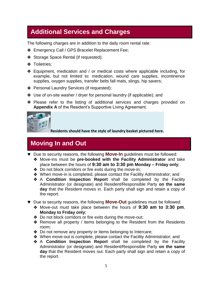### **Additional Services and Charges**

The following charges are in addition to the daily room rental rate:

- **Emergency Call / GPS Bracelet Replacement Fee;**
- Storage Space Rental (if requested);
- **❖** Toiletries;
- Equipment, medication and / or medical costs where applicable including, for example, but not limited to: medication, wound care supplies, incontinence supplies, oxygen supplies, transfer belts fall mats, slings, hip savers;
- ◆ Personal Laundry Services (if requested);
- Use of on-site washer / dryer for personal laundry (if applicable); and
- Please refer to the listing of additional services and charges provided on **Appendix A** of the Resident's Supportive Living Agreement.



**Residents should have the style of laundry basket pictured here.**

# **Moving In and Out**

- Due to security reasons, the following **Move-In** guidelines must be followed:
	- Move-ins must be **pre-booked with the Facility Administrator** and take place between the hours of **9:30 am to 3:30 pm Monday – Friday only**;
	- ◆ Do not block corridors or fire exits during the move-in;
	- ◆ When move-in is completed, please contact the Facility Administrator; and
	- A **Condition Inspection Report** shall be completed by the Facility Administrator (or designate) and Resident/Responsible Party **on the same day** that the Resident moves in. Each party shall sign and retain a copy of the report.
- Due to security reasons, the following **Move-Out** guidelines must be followed:
	- Move-out must take place between the hours of **9:30 am to 3:30 pm**, **Monday to Friday only**;
	- ◆ Do not block corridors or fire exits during the move-out;
	- ◆ Remove all property / items belonging to the Resident from the Residents room;
	- ◆ Do not remove any property or items belonging to Intercare;
	- When move-out is complete, please contact the Facility Administrator; and
	- A **Condition Inspection Report** shall be completed by the Facility Administrator (or designate) and Resident/Responsible Party **on the same day** that the Resident moves out. Each party shall sign and retain a copy of the report.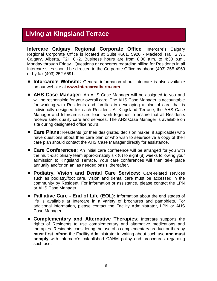### **Living at Kingsland Terrace**

**Intercare Calgary Regional Corporate Office**: Intercare's Calgary Regional Corporate Office is located at Suite #501, 5920 - Macleod Trail S.W., Calgary, Alberta, T2H 0K2. Business hours are from 8:00 a.m. to 4:30 p.m., Monday through Friday. Questions or concerns regarding billing for Residents in all Intercare sites should be directed to the Corporate Office by phone (403) 255-4969 or by fax (403) 252-6591.

- **Intercare's Website:** General information about Intercare is also available on our website at **[www.intercarealberta.com](http://www.intercarealberta.com/)**.
- **AHS Case Manager:** An AHS Case Manager will be assigned to you and will be responsible for your overall care. The AHS Case Manager is accountable for working with Residents and families in developing a plan of care that is individually designed for each Resident. At Kingsland Terrace, the AHS Case Manager and Intercare's care team work together to ensure that all Residents receive safe, quality care and services. The AHS Case Manager is available on site during designated office hours.
- **Care Plans:** Residents (or their designated decision maker, if applicable) who have questions about their care plan or who wish to see/receive a copy of their care plan should contact the AHS Case Manager directly for assistance.
- **Care Conferences:** An initial care conference will be arranged for you with the multi-disciplinary team approximately six (6) to eight (8) weeks following your admission to Kingsland Terrace. Your care conferences will then take place annually and/or on an 'as needed basis' thereafter.
- **Podiatry, Vision and Dental Care Services:** Care-related services such as podiatry/foot care, vision and dental care must be accessed in the community by Resident. For information or assistance, please contact the LPN or AHS Case Manager.
- **Palliative Care - End of Life (EOL):** Information about the end stages of life is available at Intercare in a variety of brochures and pamphlets. For additional information, please contact the Facility Administrator, LPN or AHS Case Manager.
- **Complementary and Alternative Therapies**: Intercare supports the rights of Residents to use complementary and alternative medications and therapies. Residents considering the use of a complementary product or therapy **must first inform** the Facility Administrator in writing about such use **and must comply** with Intercare's established CAHM policy and procedures regarding such use.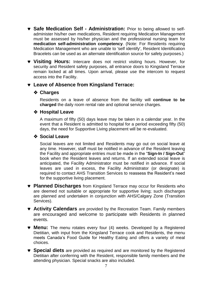- **Safe Medication Self - Administration:** Prior to being allowed to selfadminister his/her own medications, Resident requiring Medication Management must be assessed by his/her physician and the professional nursing team for **medication self-administration competency**. (Note: For Residents requiring Medication Management who are unable to 'self identify', Resident Identification Bracelets can be used as an alternate identification source for safety purposes.)
- **Visiting Hours:** Intercare does not restrict visiting hours. However, for security and Resident safety purposes, all entrance doors to Kingsland Terrace remain locked at all times. Upon arrival, please use the intercom to request access into the Facility.

#### **Leave of Absence from Kingsland Terrace:**

#### **Charges**

Residents on a leave of absence from the facility will **continue to be charged** the daily room rental rate and optional service charges.

#### **❖ Hospital Leave**

A maximum of fifty (50) days leave may be taken in a calendar year. In the event that a Resident is admitted to hospital for a period exceeding fifty (50) days, the need for Supportive Living placement will be re-evaluated.

#### **Social Leave**

Social leaves are not limited and Residents may go out on social leave at any time. However, staff must be notified in advance of the Resident leaving the Facility and appropriate entries must be made in the "**Sign-In / Sign-Out**" book when the Resident leaves and returns. If an extended social leave is anticipated, the Facility Administrator must be notified in advance. If social leaves are used in excess, the Facility Administrator (or designate) is required to contact AHS Transition Services to reassess the Resident's need for the supportive living placement.

- **Planned Discharges** from Kingsland Terrace may occur for Residents who are deemed not suitable or appropriate for supportive living; such discharges are planned and undertaken in conjunction with AHS/Calgary Zone (Transition Services).
- **Activity Calendars** are provided by the Recreation Team. Family members are encouraged and welcome to participate with Residents in planned events.
- **Menu:** The menu rotates every four (4) weeks. Developed by a Registered Dietitian, with input from the Kingsland Terrace cook and Residents, the menu meets Canada's Food Guide for Healthy Eating and offers a variety of meal choices.
- **Special diets** are provided as required and are monitored by the Registered Dietitian after conferring with the Resident, responsible family members and the attending physician. Special snacks are also included.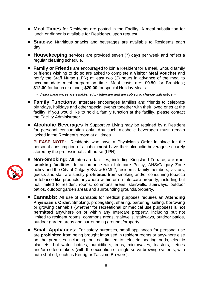- **Meal Times** for Residents are posted in the Facility. A meal substitution for lunch or dinner is available for Residents, upon request.
- **Snacks:** Nutritious snacks and beverages are available to Residents each day.
- **Housekeeping** services are provided seven (7) days per week and reflect a regular cleaning schedule.
- **Family or Friends** are encouraged to join a Resident for a meal. Should family or friends wishing to do so are asked to complete a **Visitor Meal Voucher** and notify the Staff Nurse (LPN) at least two (2) hours in advance of the meal to accommodate meal preparation time. Meal costs are: **\$9.50** for Breakfast; **\$12.00** for lunch or dinner; **\$20.00** for special Holiday Meals.

*~ Visitor meal prices are established by Intercare and are subject to change with notice ~*

- **Family Functions:** Intercare encourages families and friends to celebrate birthdays, holidays and other special events together with their loved ones at the facility. If you would like to hold a family function at the facility, please contact the Facility Administrator.
- **Alcoholic Beverages** in Supportive Living may be retained by a Resident for personal consumption only. Any such alcoholic beverages must remain locked in the Resident's room at all times.

**PLEASE NOTE:** Residents who have a Physician's Order in place for the personal consumption of alcohol **must** have their alcoholic beverages securely stored by the professional staff nurse (LPN).



 **Non-Smoking:** All Intercare facilities, including Kingsland Terrace, are **nonsmoking facilities**. In accordance with Intercare Policy, AHS/Calgary Zone policy and the City of Calgary Bylaw 57M92, residents, family members, visitors, guests and staff are strictly **prohibited** from smoking and/or consuming tobacco or tobacco-like products anywhere within or on Intercare property, including but not limited to resident rooms, commons areas, stairwells, stairways, outdoor patios, outdoor garden areas and surrounding grounds/property.

- **Cannabis:** All use of cannabis for medical purposes requires an **Attending Physician's Order**. Smoking, propagating, sharing, bartering, selling, borrowing or growing cannabis (whether for recreational or medical use purposes) is **not permitted** anywhere on or within any Intercare property, including but not limited to resident rooms, commons areas, stairwells, stairways, outdoor patios, outdoor garden areas and surrounding grounds/property.
- **Small Appliances:** For safety purposes, small appliances for personal use are **prohibited** from being brought into/used in resident rooms or anywhere else on the premises including, but not limited to: electric heating pads, electric blankets, hot water bottles, humidifiers, irons, microwaves, toasters, kettles and/or coffee makers (with the exception of single serve brewing systems, with auto shut off, such as Keurig or Tassimo Brewers).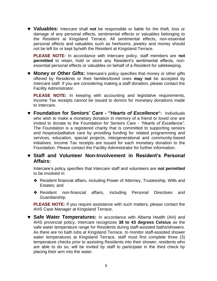**Valuables:** Intercare shall **not** be responsible or liable for the theft, loss or damage of any personal effects, sentimental effects or valuables belonging to the Resident at Kingsland Terrace. All sentimental effects, non-essential personal effects and valuables such as heirlooms, jewelry and money should not be left for or kept by/with the Resident at Kingsland Terrace.

**PLEASE NOTE:** In accordance with Intercare policy, staff members are **not permitted** to retain, hold or store any Resident's sentimental effects, nonessential personal effects or valuables on behalf of a Resident for safekeeping.

 **Money or Other Gifts:** Intercare's policy specifies that money or other gifts offered by Residents or their families/loved ones **may not** be accepted by Intercare staff. If you are considering making a staff donation, please contact the Facility Administrator.

**PLEASE NOTE:** In keeping with accounting and legislative requirements, Income Tax receipts cannot be issued to donors for monetary donations made to Intercare.

- **Foundation for Seniors' Care - "***Hearts of Excellence***":** Individuals who wish to make a monetary donation in memory of a friend or loved one are invited to donate to the Foundation for Seniors Care *- "Hearts of Excellence".*  The Foundation is a registered charity that is committed to supporting seniors and hospice/palliative care by providing funding for related programming and services, education, special projects, intergenerational and community-based initiatives. Income Tax receipts are issued for each monetary donation to the Foundation. Please contact the Facility Administrator for further information.
- **Staff and Volunteer Non-Involvement in Resident's Personal Affairs:**

Intercare's policy specifies that Intercare staff and volunteers are **not permitted** to be involved in:

- Resident financial affairs, including Power of Attorney, Trusteeship, Wills and Estates; and
- Resident non-financial affairs, including Personal Directives and Guardianship.

**PLEASE NOTE:** If you require assistance with such matters, please contact the AHS Case Manager at Kingsland Terrace.

 **Safe Water Temperatures:** In accordance with Alberta Health (AH) and AHS provincial policy, Intercare recognizes **38 to 43 degrees Celsius** as the safe water temperature range for Residents during staff-assisted baths/showers. As there are no bath tubs at Kingsland Terrace, to monitor staff-assisted shower water temperatures at Kingsland Terrace, staff must first complete three (3) temperature checks prior to assisting Residents into their shower; residents who are able to do so, will be invited by staff to participate in the third check by placing their arm into the water.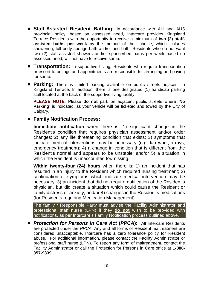- **Staff-Assisted Resident Bathing:** In accordance with AH and AHS provincial policy, based on assessed need, Intercare provides Kingsland Terrace Residents with the opportunity to receive a minimum of **two (2) staffassisted baths per week** by the method of their choice, which includes showering, full body sponge bath and/or bed bath. Residents who do not want two (2) staff-assisted showers and/or sponge/bed baths per week based on assessed need, will not have to receive same.
- **Transportation:** In supportive Living, Residents who require transportation or escort to outings and appointments are responsible for arranging and paying for same.
- **Parking:** There is limited parking available on public streets adjacent to Kingsland Terrace. In addition, there is one designated (1) handicap parking stall located at the back of the supportive living facility.

**PLEASE NOTE**: Please **do not** park on adjacent public streets where '**No Parking'** is indicated, as your vehicle will be ticketed and towed by the City of Calgary.

#### **Family Notification Process:**

**Immediate notification** when there is: 1) significant change in the Resident's condition that requires physician assessment and/or order changes; 2) any life threatening condition that exists; 3) symptoms that indicate medical interventions may be necessary (e.g. lab work, x-rays, emergency treatment); 4) a change in condition that is different from the Resident's normal and appears to be unstable; and/or 5) a situation in which the Resident is unaccounted for/missing.

**Within twenty-four (24) hours** when there is: 1) an incident that has resulted in an injury to the Resident which required nursing treatment; 2) continuation of symptoms which indicate medical intervention may be necessary; 3) an incident that did not require notification of the Resident's physician, but did create a situation which could cause the Resident or family distress or anxiety; and/or 4) changes in the Resident's medications (for Residents requiring Medication Management).

The family / Responsible Party must advise the Facility Administrator and professional staff nurse (LPN) if they **do not** wish to be provided with notifications, as per Intercare's Family Notification process outlined above.

 *Protection for Persons in Care Act* **(***PPCA***):** All Intercare Residents are protected under the *PPCA*. Any and all forms of Resident maltreatment are considered unacceptable. Intercare has a zero tolerance policy for Resident abuse. For additional information, please contact the Facility Administrator or professional staff nurse (LPN). To report any form of maltreatment, contact the Facility Administrator or call the Protection for Persons in Care office at **1-888- 357-9339.**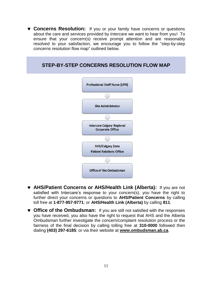**v** Concerns Resolution: If you or your family have concerns or questions about the care and services provided by Intercare we want to hear from you! To ensure that your concern(s) receive prompt attention and are reasonably resolved to your satisfaction, we encourage you to follow the "step-by-step concerns resolution flow map" outlined below.



- **AHS/Patient Concerns or AHS/Health Link (Alberta):** If you are not satisfied with Intercare's response to your concern(s), you have the right to further direct your concerns or questions to **AHS/Patient Concerns** by calling toll free at **1-877-957-9771**; or **AHS/Health Link (Alberta)** by calling **811**.
- **Office of the Ombudsman:** If you are still not satisfied with the responses you have received, you also have the right to request that AHS and the Alberta Ombudsman further investigate the concern/complaint resolution process or the fairness of the final decision by calling tolling free at **310-0000** followed then dialing **(403) 297-6185**; or via their website at **[www.ombudsman.ab.ca](http://www.ombudsman.ab.ca/)**.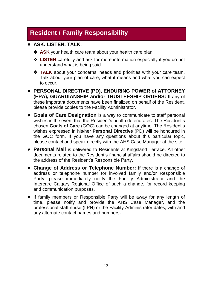# **Resident / Family Responsibility**

#### **ASK. LISTEN. TALK.**

- **↑ ASK** your health care team about your health care plan.
- **LISTEN** carefully and ask for more information especially if you do not understand what is being said.
- **↑ TALK** about your concerns, needs and priorities with your care team. Talk about your plan of care, what it means and what you can expect to occur.
- **PERSONAL DIRECTIVE (PD), ENDURING POWER of ATTORNEY (EPA), GUARDIANSHIP and/or TRUSTEESHIP ORDERS:** If any of these important documents have been finalized on behalf of the Resident, please provide copies to the Facility Administrator.
- **Goals of Care Designation** is a way to communicate to staff personal wishes in the event that the Resident's health deteriorates. The Resident's chosen **Goals of Care** (GOC) can be changed at anytime. The Resident's wishes expressed in his/her **Personal Directive** (PD) will be honoured in the GOC form. If you have any questions about this particular topic, please contact and speak directly with the AHS Case Manager at the site.
- **Personal Mail** is delivered to Residents at Kingsland Terrace. All other documents related to the Resident's financial affairs should be directed to the address of the Resident's Responsible Party.
- **Change of Address or Telephone Number:** If there is a change of address or telephone number for involved family and/or Responsible Party, please immediately notify the Facility Administrator and the Intercare Calgary Regional Office of such a change, for record keeping and communication purposes.
- **v** If family members or Responsible Party will be away for any length of time, please notify and provide the AHS Case Manager, and the professional staff nurse (LPN) or the Facility Administrator dates, with and any alternate contact names and numbers**.**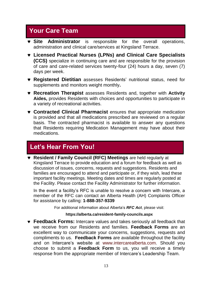# **Your Care Team**

- **Site Administrator** is responsible for the overall operations, administration and clinical care/services at Kingsland Terrace.
- **Licensed Practical Nurses (LPNs) and Clinical Care Specialists (CCS)** specialize in continuing care and are responsible for the provision of care and care-related services twenty-four (24) hours a day, seven (7) days per week.
- **Registered Dietitian** assesses Residents' nutritional status, need for supplements and monitors weight monthly**.**
- **Recreation Therapist** assesses Residents and, together with **Activity Aides,** provides Residents with choices and opportunities to participate in a variety of recreational activities.
- **Contracted Clinical Pharmacist** ensures that appropriate medication is provided and that all medications prescribed are reviewed on a regular basis. The contracted pharmacist is available to answer any questions that Residents requiring Medication Management may have about their medications.

### **Let's Hear From You!**

 **Resident / Family Council (RFC) Meetings** are held regularly at Kingsland Terrace to provide education and a forum for feedback as well as discussion of issues, concerns, requests and suggestions. Residents and families are encouraged to attend and participate or, if they wish, lead these important facility meetings. Meeting dates and times are regularly posted at the Facility. Please contact the Facility Administrator for further information.

In the event a facility's RFC is unable to resolve a concern with Intercare, a member of the RFC can contact an Alberta Health (AH) Complaints Officer for assistance by calling: **1-888-357-9339**

For additional information about Alberta's *RFC Act*, please visit:

#### **<https://alberta.ca/resident-family-councils.aspx>**

 **Feedback Forms:** Intercare values and takes seriously all feedback that we receive from our Residents and families. **Feedback Forms** are an excellent way to communicate your concerns, suggestions, requests and compliments to us. **Feedback Forms** are available throughout the facility and on Intercare's website at www.intercarealberta.com. Should you choose to submit a **Feedback Form** to us, you will receive a timely response from the appropriate member of Intercare's Leadership Team.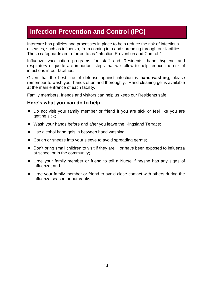### **Infection Prevention and Control (IPC)**

Intercare has policies and processes in place to help reduce the risk of infectious diseases, such as influenza, from coming into and spreading through our facilities. These safeguards are referred to as "Infection Prevention and Control."

Influenza vaccination programs for staff and Residents, hand hygiene and respiratory etiquette are important steps that we follow to help reduce the risk of infections in our facilities.

Given that the best line of defense against infection is **hand-washing**, please remember to wash your hands often and thoroughly. Hand cleaning gel is available at the main entrance of each facility.

Family members, friends and visitors can help us keep our Residents safe.

#### **Here's what you can do to help:**

- Do not visit your family member or friend if you are sick or feel like you are getting sick;
- Wash your hands before and after you leave the Kingsland Terrace;
- **v** Use alcohol hand gels in between hand washing;
- $\bullet$  Cough or sneeze into your sleeve to avoid spreading germs;
- Don't bring small children to visit if they are ill or have been exposed to influenza at school or in the community;
- Urge your family member or friend to tell a Nurse if he/she has any signs of influenza; and
- Urge your family member or friend to avoid close contact with others during the influenza season or outbreaks.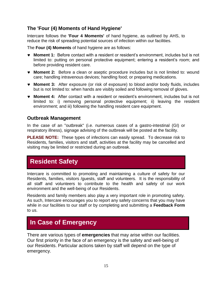#### **The 'Four (4) Moments of Hand Hygiene'**

Intercare follows the **'Four 4 Moments'** of hand hygiene, as outlined by AHS, to reduce the risk of spreading potential sources of infection within our facilities.

The **Four (4) Moments** of hand hygiene are as follows:

- **Moment 1:** Before contact with a resident or resident's environment, includes but is not limited to: putting on personal protective equipment; entering a resident's room; and before providing resident care.
- **Moment 2:** Before a clean or aseptic procedure includes but is not limited to: wound care; handling intravenous devices; handling food; or preparing medications.
- **Moment 3:** After exposure (or risk of exposure) to blood and/or body fluids, includes but is not limited to: when hands are visibly soiled and following removal of gloves.
- **Moment 4:** After contact with a resident or resident's environment, includes but is not limited to: i) removing personal protective equipment; ii) leaving the resident environment; and iii) following the handling resident care equipment.

#### **Outbreak Management**

In the case of an "outbreak" (i.e. numerous cases of a gastro-intestinal (GI) or respiratory illness), signage advising of the outbreak will be posted at the facility.

**PLEASE NOTE:** These types of infections can easily spread. To decrease risk to Residents, families, visitors and staff, activities at the facility may be cancelled and visiting may be limited or restricted during an outbreak.

### **Resident Safety**

Intercare is committed to promoting and maintaining a culture of safety for our Residents, families, visitors /guests, staff and volunteers. It is the responsibility of all staff and volunteers to contribute to the health and safety of our work environment and the well-being of our Residents.

Residents and family members also play a very important role in promoting safety. As such, Intercare encourages you to report any safety concerns that you may have while in our facilities to our staff or by completing and submitting a **Feedback Form** to us.

# **In Case of Emergency**

There are various types of **emergencies** that may arise within our facilities. Our first priority in the face of an emergency is the safety and well-being of our Residents. Particular actions taken by staff will depend on the type of emergency.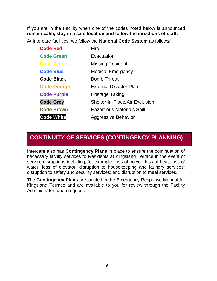If you are in the Facility when one of the codes noted below is announced **remain calm, stay in a safe location and follow the directions of staff.**

At Intercare facilities, we follow the **National Code System** as follows:

| <b>Code Red</b>    | Fire                                  |
|--------------------|---------------------------------------|
| <b>Code Green</b>  | Evacuation                            |
| <b>Code Yellow</b> | <b>Missing Resident</b>               |
| <b>Code Blue</b>   | <b>Medical Emergency</b>              |
| <b>Code Black</b>  | <b>Bomb Threat</b>                    |
| <b>Code Orange</b> | <b>External Disaster Plan</b>         |
| <b>Code Purple</b> | Hostage Taking                        |
| <b>Code Grey</b>   | <b>Shelter-In-Place/Air Exclusion</b> |
| <b>Code Brown</b>  | <b>Hazardous Materials Spill</b>      |
| <b>Code White</b>  | <b>Aggressive Behavior</b>            |

### **CONTINUITY OF SERVICES (CONTINGENCY PLANNING)**

Intercare also has **Contingency Plans** in place to ensure the continuation of necessary facility services to Residents at Kingsland Terrace in the event of service disruptions including, for example: loss of power; loss of heat, loss of water; loss of elevator, disruption to housekeeping and laundry services; disruption to safety and security services; and disruption to meal services.

The **Contingency Plans** are located in the Emergency Response Manual for Kingsland Terrace and are available to you for review through the Facility Administrator, upon request.